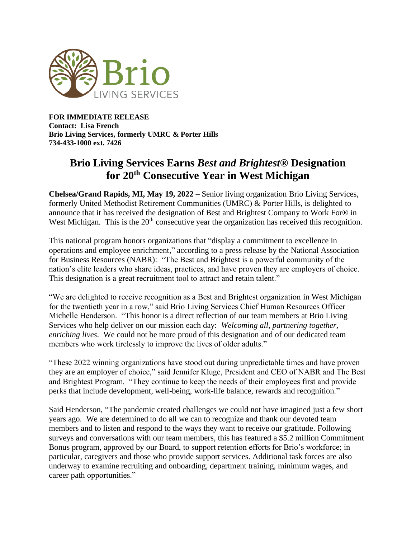

**FOR IMMEDIATE RELEASE Contact: Lisa French Brio Living Services, formerly UMRC & Porter Hills 734-433-1000 ext. 7426**

## **Brio Living Services Earns** *Best and Brightest®* **Designation for 20th Consecutive Year in West Michigan**

**Chelsea/Grand Rapids, MI, May 19, 2022 –** Senior living organization Brio Living Services, formerly United Methodist Retirement Communities (UMRC) & Porter Hills, is delighted to announce that it has received the designation of Best and Brightest Company to Work For® in West Michigan. This is the 20<sup>th</sup> consecutive year the organization has received this recognition.

This national program honors organizations that "display a commitment to excellence in operations and employee enrichment," according to a press release by the National Association for Business Resources (NABR): "The Best and Brightest is a powerful community of the nation's elite leaders who share ideas, practices, and have proven they are employers of choice. This designation is a great recruitment tool to attract and retain talent."

"We are delighted to receive recognition as a Best and Brightest organization in West Michigan for the twentieth year in a row," said Brio Living Services Chief Human Resources Officer Michelle Henderson. "This honor is a direct reflection of our team members at Brio Living Services who help deliver on our mission each day: *Welcoming all, partnering together, enriching lives*. We could not be more proud of this designation and of our dedicated team members who work tirelessly to improve the lives of older adults."

"These 2022 winning organizations have stood out during unpredictable times and have proven they are an employer of choice," said Jennifer Kluge, President and CEO of NABR and The Best and Brightest Program. "They continue to keep the needs of their employees first and provide perks that include development, well-being, work-life balance, rewards and recognition."

Said Henderson, "The pandemic created challenges we could not have imagined just a few short years ago. We are determined to do all we can to recognize and thank our devoted team members and to listen and respond to the ways they want to receive our gratitude. Following surveys and conversations with our team members, this has featured a \$5.2 million Commitment Bonus program, approved by our Board, to support retention efforts for Brio's workforce; in particular, caregivers and those who provide support services. Additional task forces are also underway to examine recruiting and onboarding, department training, minimum wages, and career path opportunities."